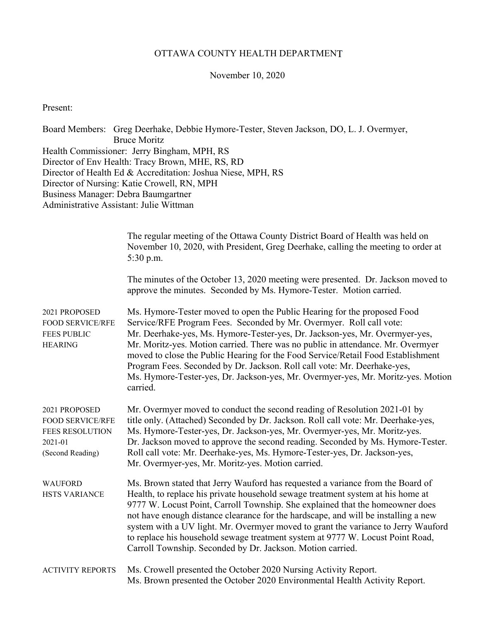## OTTAWA COUNTY HEALTH DEPARTMENT

### November 10, 2020

Present:

Board Members: Greg Deerhake, Debbie Hymore-Tester, Steven Jackson, DO, L. J. Overmyer, Bruce Moritz Health Commissioner: Jerry Bingham, MPH, RS Director of Env Health: Tracy Brown, MHE, RS, RD Director of Health Ed & Accreditation: Joshua Niese, MPH, RS Director of Nursing: Katie Crowell, RN, MPH Business Manager: Debra Baumgartner Administrative Assistant: Julie Wittman

|                                                                                                   | The regular meeting of the Ottawa County District Board of Health was held on<br>November 10, 2020, with President, Greg Deerhake, calling the meeting to order at<br>5:30 p.m.                                                                                                                                                                                                                                                                                                                                                                                                   |
|---------------------------------------------------------------------------------------------------|-----------------------------------------------------------------------------------------------------------------------------------------------------------------------------------------------------------------------------------------------------------------------------------------------------------------------------------------------------------------------------------------------------------------------------------------------------------------------------------------------------------------------------------------------------------------------------------|
|                                                                                                   | The minutes of the October 13, 2020 meeting were presented. Dr. Jackson moved to<br>approve the minutes. Seconded by Ms. Hymore-Tester. Motion carried.                                                                                                                                                                                                                                                                                                                                                                                                                           |
| 2021 PROPOSED<br><b>FOOD SERVICE/RFE</b><br><b>FEES PUBLIC</b><br><b>HEARING</b>                  | Ms. Hymore-Tester moved to open the Public Hearing for the proposed Food<br>Service/RFE Program Fees. Seconded by Mr. Overmyer. Roll call vote:<br>Mr. Deerhake-yes, Ms. Hymore-Tester-yes, Dr. Jackson-yes, Mr. Overmyer-yes,<br>Mr. Moritz-yes. Motion carried. There was no public in attendance. Mr. Overmyer<br>moved to close the Public Hearing for the Food Service/Retail Food Establishment<br>Program Fees. Seconded by Dr. Jackson. Roll call vote: Mr. Deerhake-yes,<br>Ms. Hymore-Tester-yes, Dr. Jackson-yes, Mr. Overmyer-yes, Mr. Moritz-yes. Motion<br>carried. |
| 2021 PROPOSED<br><b>FOOD SERVICE/RFE</b><br><b>FEES RESOLUTION</b><br>2021-01<br>(Second Reading) | Mr. Overmyer moved to conduct the second reading of Resolution 2021-01 by<br>title only. (Attached) Seconded by Dr. Jackson. Roll call vote: Mr. Deerhake-yes,<br>Ms. Hymore-Tester-yes, Dr. Jackson-yes, Mr. Overmyer-yes, Mr. Moritz-yes.<br>Dr. Jackson moved to approve the second reading. Seconded by Ms. Hymore-Tester.<br>Roll call vote: Mr. Deerhake-yes, Ms. Hymore-Tester-yes, Dr. Jackson-yes,<br>Mr. Overmyer-yes, Mr. Moritz-yes. Motion carried.                                                                                                                  |
| <b>WAUFORD</b><br><b>HSTS VARIANCE</b>                                                            | Ms. Brown stated that Jerry Wauford has requested a variance from the Board of<br>Health, to replace his private household sewage treatment system at his home at<br>9777 W. Locust Point, Carroll Township. She explained that the homeowner does<br>not have enough distance clearance for the hardscape, and will be installing a new<br>system with a UV light. Mr. Overmyer moved to grant the variance to Jerry Wauford<br>to replace his household sewage treatment system at 9777 W. Locust Point Road,<br>Carroll Township. Seconded by Dr. Jackson. Motion carried.     |
| <b>ACTIVITY REPORTS</b>                                                                           | Ms. Crowell presented the October 2020 Nursing Activity Report.<br>Ms. Brown presented the October 2020 Environmental Health Activity Report.                                                                                                                                                                                                                                                                                                                                                                                                                                     |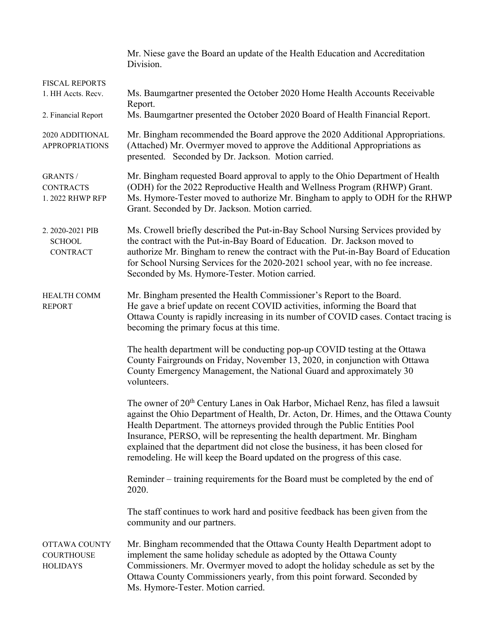|                                                              | Mr. Niese gave the Board an update of the Health Education and Accreditation<br>Division.                                                                                                                                                                                                                                                                                                                                                                                                                     |  |
|--------------------------------------------------------------|---------------------------------------------------------------------------------------------------------------------------------------------------------------------------------------------------------------------------------------------------------------------------------------------------------------------------------------------------------------------------------------------------------------------------------------------------------------------------------------------------------------|--|
| <b>FISCAL REPORTS</b><br>1. HH Accts. Recv.                  | Ms. Baumgartner presented the October 2020 Home Health Accounts Receivable<br>Report.                                                                                                                                                                                                                                                                                                                                                                                                                         |  |
| 2. Financial Report                                          | Ms. Baumgartner presented the October 2020 Board of Health Financial Report.                                                                                                                                                                                                                                                                                                                                                                                                                                  |  |
| 2020 ADDITIONAL<br><b>APPROPRIATIONS</b>                     | Mr. Bingham recommended the Board approve the 2020 Additional Appropriations.<br>(Attached) Mr. Overmyer moved to approve the Additional Appropriations as<br>presented. Seconded by Dr. Jackson. Motion carried.                                                                                                                                                                                                                                                                                             |  |
| <b>GRANTS /</b><br><b>CONTRACTS</b><br>1. 2022 RHWP RFP      | Mr. Bingham requested Board approval to apply to the Ohio Department of Health<br>(ODH) for the 2022 Reproductive Health and Wellness Program (RHWP) Grant.<br>Ms. Hymore-Tester moved to authorize Mr. Bingham to apply to ODH for the RHWP<br>Grant. Seconded by Dr. Jackson. Motion carried.                                                                                                                                                                                                               |  |
| 2.2020-2021 PIB<br><b>SCHOOL</b><br><b>CONTRACT</b>          | Ms. Crowell briefly described the Put-in-Bay School Nursing Services provided by<br>the contract with the Put-in-Bay Board of Education. Dr. Jackson moved to<br>authorize Mr. Bingham to renew the contract with the Put-in-Bay Board of Education<br>for School Nursing Services for the 2020-2021 school year, with no fee increase.<br>Seconded by Ms. Hymore-Tester. Motion carried.                                                                                                                     |  |
| HEALTH COMM<br><b>REPORT</b>                                 | Mr. Bingham presented the Health Commissioner's Report to the Board.<br>He gave a brief update on recent COVID activities, informing the Board that<br>Ottawa County is rapidly increasing in its number of COVID cases. Contact tracing is<br>becoming the primary focus at this time.                                                                                                                                                                                                                       |  |
|                                                              | The health department will be conducting pop-up COVID testing at the Ottawa<br>County Fairgrounds on Friday, November 13, 2020, in conjunction with Ottawa<br>County Emergency Management, the National Guard and approximately 30<br>volunteers.                                                                                                                                                                                                                                                             |  |
|                                                              | The owner of 20 <sup>th</sup> Century Lanes in Oak Harbor, Michael Renz, has filed a lawsuit<br>against the Ohio Department of Health, Dr. Acton, Dr. Himes, and the Ottawa County<br>Health Department. The attorneys provided through the Public Entities Pool<br>Insurance, PERSO, will be representing the health department. Mr. Bingham<br>explained that the department did not close the business, it has been closed for<br>remodeling. He will keep the Board updated on the progress of this case. |  |
|                                                              | Reminder – training requirements for the Board must be completed by the end of<br>2020.                                                                                                                                                                                                                                                                                                                                                                                                                       |  |
|                                                              | The staff continues to work hard and positive feedback has been given from the<br>community and our partners.                                                                                                                                                                                                                                                                                                                                                                                                 |  |
| <b>OTTAWA COUNTY</b><br><b>COURTHOUSE</b><br><b>HOLIDAYS</b> | Mr. Bingham recommended that the Ottawa County Health Department adopt to<br>implement the same holiday schedule as adopted by the Ottawa County<br>Commissioners. Mr. Overmyer moved to adopt the holiday schedule as set by the<br>Ottawa County Commissioners yearly, from this point forward. Seconded by<br>Ms. Hymore-Tester. Motion carried.                                                                                                                                                           |  |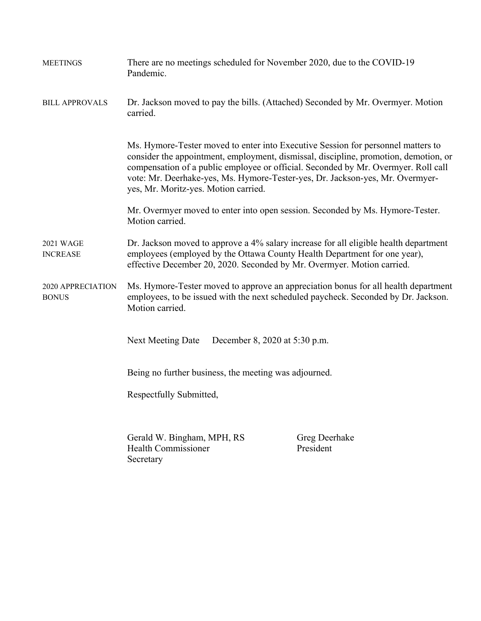| <b>MEETINGS</b>                     | There are no meetings scheduled for November 2020, due to the COVID-19<br>Pandemic.                                                                                                                                                                                                                                                                                                     |                            |  |
|-------------------------------------|-----------------------------------------------------------------------------------------------------------------------------------------------------------------------------------------------------------------------------------------------------------------------------------------------------------------------------------------------------------------------------------------|----------------------------|--|
| <b>BILL APPROVALS</b>               | Dr. Jackson moved to pay the bills. (Attached) Seconded by Mr. Overmyer. Motion<br>carried.                                                                                                                                                                                                                                                                                             |                            |  |
|                                     | Ms. Hymore-Tester moved to enter into Executive Session for personnel matters to<br>consider the appointment, employment, dismissal, discipline, promotion, demotion, or<br>compensation of a public employee or official. Seconded by Mr. Overmyer. Roll call<br>vote: Mr. Deerhake-yes, Ms. Hymore-Tester-yes, Dr. Jackson-yes, Mr. Overmyer-<br>yes, Mr. Moritz-yes. Motion carried. |                            |  |
|                                     | Mr. Overmyer moved to enter into open session. Seconded by Ms. Hymore-Tester.<br>Motion carried.                                                                                                                                                                                                                                                                                        |                            |  |
| <b>2021 WAGE</b><br><b>INCREASE</b> | Dr. Jackson moved to approve a 4% salary increase for all eligible health department<br>employees (employed by the Ottawa County Health Department for one year),<br>effective December 20, 2020. Seconded by Mr. Overmyer. Motion carried.                                                                                                                                             |                            |  |
| 2020 APPRECIATION<br><b>BONUS</b>   | Ms. Hymore-Tester moved to approve an appreciation bonus for all health department<br>employees, to be issued with the next scheduled paycheck. Seconded by Dr. Jackson.<br>Motion carried.                                                                                                                                                                                             |                            |  |
|                                     | <b>Next Meeting Date</b><br>December 8, 2020 at 5:30 p.m.                                                                                                                                                                                                                                                                                                                               |                            |  |
|                                     | Being no further business, the meeting was adjourned.                                                                                                                                                                                                                                                                                                                                   |                            |  |
|                                     | Respectfully Submitted,                                                                                                                                                                                                                                                                                                                                                                 |                            |  |
|                                     | Gerald W. Bingham, MPH, RS<br><b>Health Commissioner</b><br>Secretary                                                                                                                                                                                                                                                                                                                   | Greg Deerhake<br>President |  |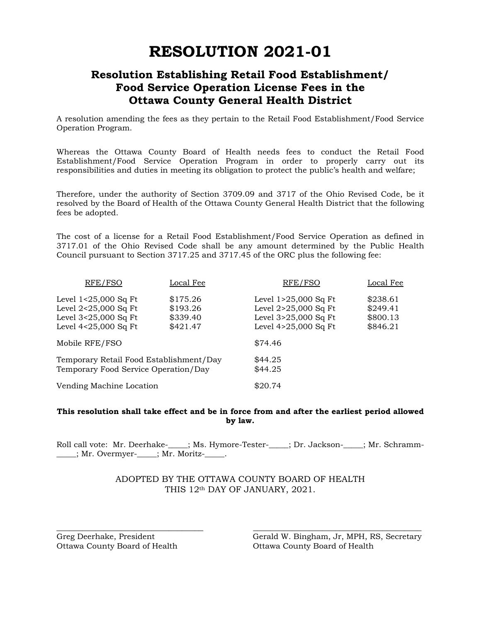# **RESOLUTION 2021-01**

# **Resolution Establishing Retail Food Establishment/ Food Service Operation License Fees in the Ottawa County General Health District**

A resolution amending the fees as they pertain to the Retail Food Establishment/Food Service Operation Program.

Whereas the Ottawa County Board of Health needs fees to conduct the Retail Food Establishment/Food Service Operation Program in order to properly carry out its responsibilities and duties in meeting its obligation to protect the public's health and welfare;

Therefore, under the authority of Section 3709.09 and 3717 of the Ohio Revised Code, be it resolved by the Board of Health of the Ottawa County General Health District that the following fees be adopted.

The cost of a license for a Retail Food Establishment/Food Service Operation as defined in 3717.01 of the Ohio Revised Code shall be any amount determined by the Public Health Council pursuant to Section 3717.25 and 3717.45 of the ORC plus the following fee:

| RFE/FSO                                                                                          | Local Fee                                    | RFE/FSO                                                                                      | Local Fee                                    |
|--------------------------------------------------------------------------------------------------|----------------------------------------------|----------------------------------------------------------------------------------------------|----------------------------------------------|
| Level $1<25,000$ Sq Ft<br>Level $2<25,000$ Sq Ft<br>Level 3<25,000 Sq Ft<br>Level 4<25,000 Sq Ft | \$175.26<br>\$193.26<br>\$339.40<br>\$421.47 | Level 1>25,000 Sq Ft<br>Level 2>25,000 Sq Ft<br>Level 3>25,000 Sq Ft<br>Level 4>25,000 Sq Ft | \$238.61<br>\$249.41<br>\$800.13<br>\$846.21 |
| Mobile RFE/FSO                                                                                   |                                              | \$74.46                                                                                      |                                              |
| Temporary Retail Food Establishment/Day<br>Temporary Food Service Operation/Day                  |                                              | \$44.25<br>\$44.25                                                                           |                                              |
| Vending Machine Location                                                                         |                                              | \$20.74                                                                                      |                                              |

#### **This resolution shall take effect and be in force from and after the earliest period allowed by law.**

Roll call vote: Mr. Deerhake-\_\_\_\_; Ms. Hymore-Tester-\_\_\_\_; Dr. Jackson-\_\_\_\_; Mr. Schramm-\_\_\_\_\_; Mr. Overmyer-\_\_\_\_\_; Mr. Moritz-\_\_\_\_\_.

#### ADOPTED BY THE OTTAWA COUNTY BOARD OF HEALTH THIS 12th DAY OF JANUARY, 2021.

\_\_\_\_\_\_\_\_\_\_\_\_\_\_\_\_\_\_\_\_\_\_\_\_\_\_\_\_\_\_\_\_\_\_ \_\_\_\_\_\_\_\_\_\_\_\_\_\_\_\_\_\_\_\_\_\_\_\_\_\_\_\_\_\_\_\_\_\_\_\_\_\_\_

Ottawa County Board of Health Ottawa County Board of Health

Greg Deerhake, President Gerald W. Bingham, Jr, MPH, RS, Secretary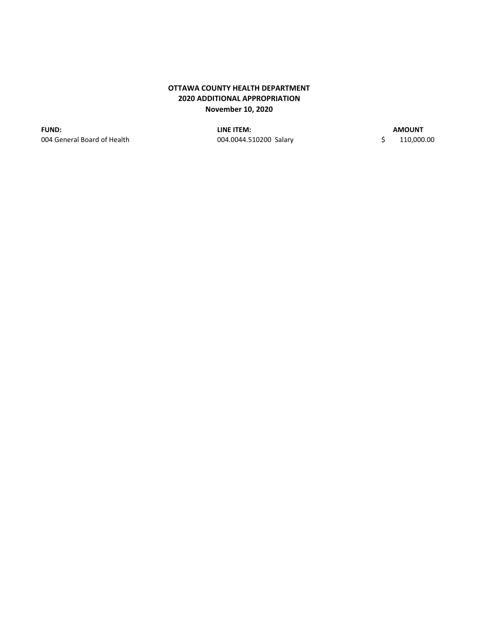### **OTTAWA COUNTY HEALTH DEPARTMENT 2020 ADDITIONAL APPROPRIATION November 10, 2020**

004 General Board of Health 004.0044.510200 Salary \$ 110,000.00 **FUND: LINE ITEM:**

**AMOUNT**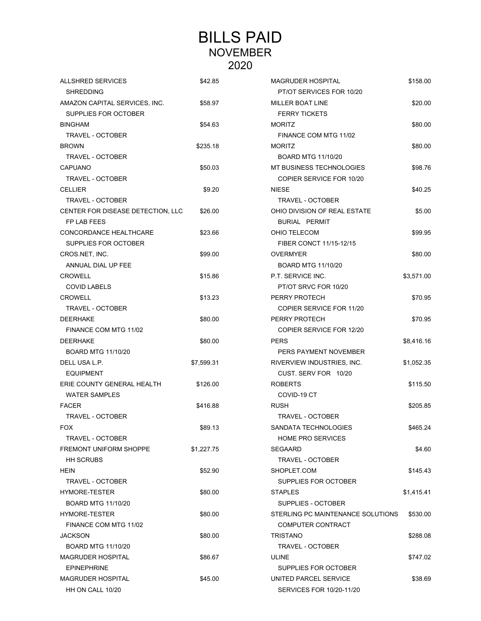# BILLS PAID NOVEMBER 2020

| <b>ALLSHRED SERVICES</b>          | \$42.85    | <b>MAGRUDER HOSPITAL</b>          | \$158.00   |
|-----------------------------------|------------|-----------------------------------|------------|
| <b>SHREDDING</b>                  |            | PT/OT SERVICES FOR 10/20          |            |
| AMAZON CAPITAL SERVICES, INC.     | \$58.97    | <b>MILLER BOAT LINE</b>           | \$20.00    |
| SUPPLIES FOR OCTOBER              |            | <b>FERRY TICKETS</b>              |            |
| <b>BINGHAM</b>                    | \$54.63    | <b>MORITZ</b>                     | \$80.00    |
| TRAVEL - OCTOBER                  |            | FINANCE COM MTG 11/02             |            |
| <b>BROWN</b>                      | \$235.18   | <b>MORITZ</b>                     | \$80.00    |
| <b>TRAVEL - OCTOBER</b>           |            | <b>BOARD MTG 11/10/20</b>         |            |
| <b>CAPUANO</b>                    | \$50.03    | MT BUSINESS TECHNOLOGIES          | \$98.76    |
| <b>TRAVEL - OCTOBER</b>           |            | COPIER SERVICE FOR 10/20          |            |
| <b>CELLIER</b>                    | \$9.20     | <b>NIESE</b>                      | \$40.25    |
| TRAVEL - OCTOBER                  |            | <b>TRAVEL - OCTOBER</b>           |            |
| CENTER FOR DISEASE DETECTION, LLC | \$26.00    | OHIO DIVISION OF REAL ESTATE      | \$5.00     |
| FP LAB FEES                       |            | <b>BURIAL PERMIT</b>              |            |
| CONCORDANCE HEALTHCARE            | \$23.66    | OHIO TELECOM                      | \$99.95    |
| SUPPLIES FOR OCTOBER              |            | FIBER CONCT 11/15-12/15           |            |
| CROS.NET, INC.                    | \$99.00    | <b>OVERMYER</b>                   | \$80.00    |
| ANNUAL DIAL UP FEE                |            | <b>BOARD MTG 11/10/20</b>         |            |
| <b>CROWELL</b>                    | \$15.86    | P.T. SERVICE INC.                 | \$3,571.00 |
| <b>COVID LABELS</b>               |            | PT/OT SRVC FOR 10/20              |            |
| <b>CROWELL</b>                    | \$13.23    | PERRY PROTECH                     | \$70.95    |
| <b>TRAVEL - OCTOBER</b>           |            | COPIER SERVICE FOR 11/20          |            |
| <b>DEERHAKE</b>                   | \$80.00    | PERRY PROTECH                     | \$70.95    |
| FINANCE COM MTG 11/02             |            | COPIER SERVICE FOR 12/20          |            |
| <b>DEERHAKE</b>                   | \$80.00    | <b>PERS</b>                       | \$8,416.16 |
| <b>BOARD MTG 11/10/20</b>         |            | PERS PAYMENT NOVEMBER             |            |
| DELL USA L.P.                     | \$7,599.31 | RIVERVIEW INDUSTRIES, INC.        | \$1,052.35 |
| <b>EQUIPMENT</b>                  |            | CUST. SERV FOR 10/20              |            |
| ERIE COUNTY GENERAL HEALTH        | \$126.00   | <b>ROBERTS</b>                    | \$115.50   |
| <b>WATER SAMPLES</b>              |            | COVID-19 CT                       |            |
| <b>FACER</b>                      | \$416.88   | <b>RUSH</b>                       | \$205.85   |
| <b>TRAVEL - OCTOBER</b>           |            | <b>TRAVEL - OCTOBER</b>           |            |
| <b>FOX</b>                        | \$89.13    | SANDATA TECHNOLOGIES              | \$465.24   |
| TRAVEL - OCTOBER                  |            | <b>HOME PRO SERVICES</b>          |            |
| <b>FREMONT UNIFORM SHOPPE</b>     | \$1,227.75 | SEGAARD                           | \$4.60     |
| <b>HH SCRUBS</b>                  |            | TRAVEL - OCTOBER                  |            |
| HEIN                              | \$52.90    | SHOPLET.COM                       | \$145.43   |
| TRAVEL - OCTOBER                  |            | SUPPLIES FOR OCTOBER              |            |
| <b>HYMORE-TESTER</b>              | \$80.00    | <b>STAPLES</b>                    | \$1,415.41 |
| <b>BOARD MTG 11/10/20</b>         |            | SUPPLIES - OCTOBER                |            |
| <b>HYMORE-TESTER</b>              | \$80.00    | STERLING PC MAINTENANCE SOLUTIONS | \$530.00   |
| FINANCE COM MTG 11/02             |            | <b>COMPUTER CONTRACT</b>          |            |
| <b>JACKSON</b>                    | \$80.00    | TRISTANO                          | \$288.08   |
| <b>BOARD MTG 11/10/20</b>         |            | TRAVEL - OCTOBER                  |            |
| <b>MAGRUDER HOSPITAL</b>          | \$86.67    | ULINE                             | \$747.02   |
| <b>EPINEPHRINE</b>                |            | SUPPLIES FOR OCTOBER              |            |
| <b>MAGRUDER HOSPITAL</b>          | \$45.00    | UNITED PARCEL SERVICE             | \$38.69    |
| HH ON CALL 10/20                  |            | SERVICES FOR 10/20-11/20          |            |